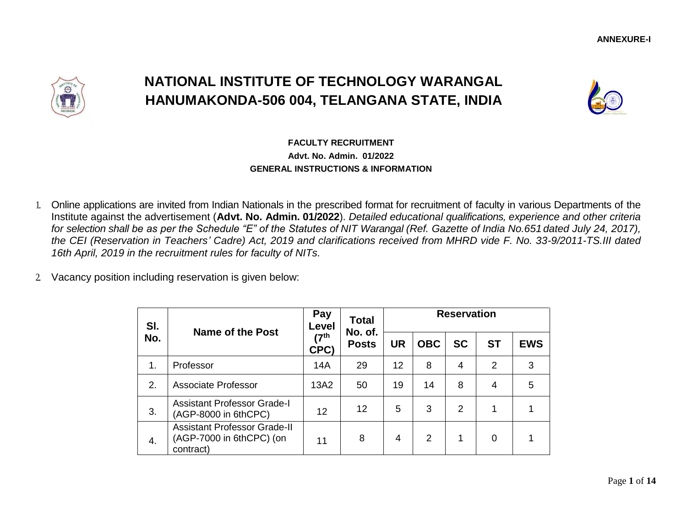

# **NATIONAL INSTITUTE OF TECHNOLOGY WARANGAL HANUMAKONDA-506 004, TELANGANA STATE, INDIA**



## **FACULTY RECRUITMENT Advt. No. Admin. 01/2022 GENERAL INSTRUCTIONS & INFORMATION**

- 1. Online applications are invited from Indian Nationals in the prescribed format for recruitment of faculty in various Departments of the Institute against the advertisement (**Advt. No. Admin. 01/2022**). *Detailed educational qualifications, experience and other criteria for selection shall be as per the Schedule "E" of the Statutes of NIT Warangal (Ref. Gazette of India No.651 dated July 24, 2017), the CEI (Reservation in Teachers' Cadre) Act, 2019 and clarifications received from MHRD vide F. No. 33-9/2011-TS.III dated 16th April, 2019 in the recruitment rules for faculty of NITs.*
- 2. Vacancy position including reservation is given below:

| SI. | <b>Name of the Post</b>                                                      | Pay<br>Level            | <b>Total</b><br>No. of. | <b>Reservation</b> |            |                |                |            |  |  |
|-----|------------------------------------------------------------------------------|-------------------------|-------------------------|--------------------|------------|----------------|----------------|------------|--|--|
| No. |                                                                              | 7 <sup>th</sup><br>CPC) | <b>Posts</b>            | <b>UR</b>          | <b>OBC</b> | <b>SC</b>      | <b>ST</b>      | <b>EWS</b> |  |  |
| 1.  | Professor                                                                    | 14A                     | 29                      | 12                 | 8          | 4              | $\overline{2}$ | 3          |  |  |
| 2.  | <b>Associate Professor</b>                                                   | 13A2                    | 50                      | 19                 | 14         | 8              | 4              | 5          |  |  |
| 3.  | <b>Assistant Professor Grade-I</b><br>(AGP-8000 in 6thCPC)                   | 12                      | 12                      | 5                  | 3          | $\overline{2}$ |                |            |  |  |
| 4.  | <b>Assistant Professor Grade-II</b><br>(AGP-7000 in 6thCPC) (on<br>contract) | 11                      | 8                       | 4                  | 2          | 1              | 0              |            |  |  |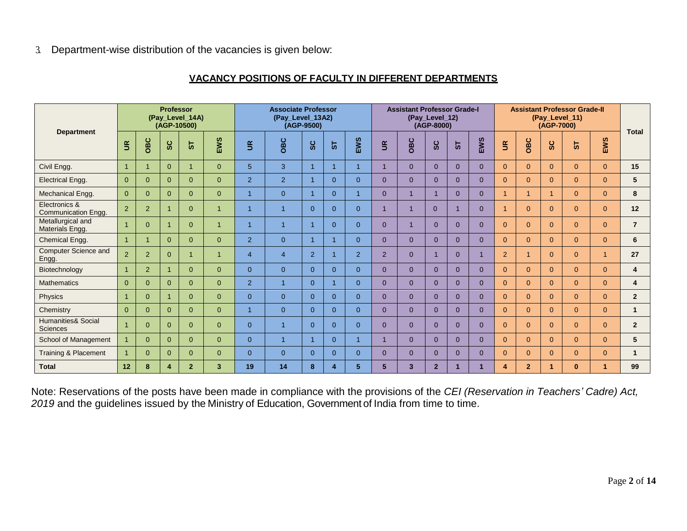#### **VACANCY POSITIONS OF FACULTY IN DIFFERENT DEPARTMENTS**

|                                                  | <b>Professor</b><br>(Pay_Level_14A)<br>(AGP-10500) |                |                      | <b>Associate Professor</b><br>(Pay_Level_13A2)<br>(AGP-9500) |                |                | <b>Assistant Professor Grade-I</b><br>(Pay_Level_12)<br>(AGP-8000) |                   |              |                | <b>Assistant Professor Grade-II</b><br>(Pay_Level_11)<br>(AGP-7000) |          |                |              | <b>Total</b>   |                |                |                |                |                |                |
|--------------------------------------------------|----------------------------------------------------|----------------|----------------------|--------------------------------------------------------------|----------------|----------------|--------------------------------------------------------------------|-------------------|--------------|----------------|---------------------------------------------------------------------|----------|----------------|--------------|----------------|----------------|----------------|----------------|----------------|----------------|----------------|
| <b>Department</b>                                | $\tilde{\mathbf{g}}$                               | OBC            | <u>ွ</u>             | ಀ                                                            | EWS            | $\mathbf{g}$   | OBC                                                                | $\mathbf C$<br>Ø. | 5            | EWS            | $\mathbf{g}$                                                        | OBC      | ပ<br>$\bar{v}$ | 5            | EWS            | $\mathbf{g}$   | OBC            | ပ<br>$\bar{v}$ | 5              | EWS            |                |
| Civil Engg.                                      |                                                    |                | $\overline{0}$       | $\mathbf{1}$                                                 | $\overline{0}$ | 5 <sup>5</sup> | 3                                                                  |                   | $\mathbf{1}$ |                | $\overline{1}$                                                      | $\Omega$ | $\Omega$       | $\mathbf{0}$ | $\overline{0}$ | $\Omega$       | $\Omega$       | $\Omega$       | $\Omega$       | $\overline{0}$ | 15             |
| <b>Electrical Engg.</b>                          | $\Omega$                                           | $\Omega$       | $\overline{0}$       | $\overline{0}$                                               | $\overline{0}$ | $\overline{2}$ | 2                                                                  |                   | $\Omega$     | $\Omega$       | $\Omega$                                                            | $\Omega$ | $\Omega$       | $\Omega$     | $\overline{0}$ | $\Omega$       | $\overline{0}$ | $\Omega$       | $\Omega$       | $\overline{0}$ | 5              |
| Mechanical Engg.                                 | $\Omega$                                           | $\Omega$       | $\Omega$             | $\Omega$                                                     | $\overline{0}$ | $\overline{1}$ | $\overline{0}$                                                     |                   | $\Omega$     |                | $\Omega$                                                            |          |                | $\Omega$     | $\Omega$       | $\mathbf{1}$   |                |                | $\Omega$       | $\Omega$       | 8              |
| Electronics &<br><b>Communication Engg.</b>      | 2                                                  | $\overline{2}$ | $\mathbf 1$          | $\Omega$                                                     | $\overline{1}$ | $\overline{1}$ | $\overline{1}$                                                     | $\Omega$          | $\Omega$     | $\Omega$       | $\overline{1}$                                                      |          | $\Omega$       |              | $\overline{0}$ | $\mathbf{1}$   | $\overline{0}$ | $\Omega$       | $\overline{0}$ | $\overline{0}$ | 12             |
| Metallurgical and<br>Materials Engg.             |                                                    | $\Omega$       | $\blacktriangleleft$ | $\Omega$                                                     | $\overline{1}$ | $\overline{1}$ | $\overline{1}$                                                     |                   | $\Omega$     | $\Omega$       | $\Omega$                                                            |          | $\Omega$       | $\Omega$     | $\Omega$       | $\Omega$       | $\Omega$       | $\Omega$       | $\Omega$       | $\overline{0}$ | $\overline{7}$ |
| Chemical Engg.                                   |                                                    |                | $\overline{0}$       | $\Omega$                                                     | $\overline{0}$ | $\overline{2}$ | $\overline{0}$                                                     | 1                 | -1           | $\Omega$       | $\overline{0}$                                                      | $\Omega$ | $\Omega$       | $\mathbf{0}$ | $\Omega$       | $\Omega$       | $\Omega$       | $\Omega$       | $\Omega$       | $\overline{0}$ | 6              |
| <b>Computer Science and</b><br>Engg.             | 2                                                  | $\overline{2}$ | $\Omega$             |                                                              | 1              | $\overline{4}$ | $\overline{4}$                                                     | $\overline{2}$    | -1           | $\overline{2}$ | 2                                                                   | $\Omega$ |                | $\Omega$     |                | 2              |                | $\Omega$       | $\Omega$       | 1              | 27             |
| Biotechnology                                    |                                                    | $\overline{2}$ | -1                   | $\Omega$                                                     | $\overline{0}$ | $\overline{0}$ | $\overline{0}$                                                     | $\Omega$          | $\Omega$     | $\Omega$       | $\Omega$                                                            | $\Omega$ | $\Omega$       | $\Omega$     | $\Omega$       | $\Omega$       | $\Omega$       | $\Omega$       | $\Omega$       | $\Omega$       | 4              |
| <b>Mathematics</b>                               | $\Omega$                                           | $\Omega$       | $\Omega$             | $\Omega$                                                     | $\overline{0}$ | 2              | $\overline{1}$                                                     | $\Omega$          | -1           | $\Omega$       | $\overline{0}$                                                      | $\Omega$ | $\Omega$       | $\Omega$     | $\Omega$       | $\Omega$       | $\Omega$       | $\Omega$       | $\Omega$       | $\Omega$       | 4              |
| Physics                                          |                                                    | $\Omega$       | $\overline{1}$       | $\overline{0}$                                               | $\overline{0}$ | $\overline{0}$ | $\overline{0}$                                                     | $\Omega$          | $\Omega$     | $\overline{0}$ | $\mathbf{0}$                                                        | $\Omega$ | $\Omega$       | $\Omega$     | $\overline{0}$ | $\overline{0}$ | $\overline{0}$ | $\Omega$       | $\overline{0}$ | $\overline{0}$ | $\overline{2}$ |
| Chemistry                                        | $\Omega$                                           | $\Omega$       | $\Omega$             | $\Omega$                                                     | $\overline{0}$ | $\overline{1}$ | $\overline{0}$                                                     | $\Omega$          | $\Omega$     | $\Omega$       | $\Omega$                                                            | $\Omega$ | $\Omega$       | $\Omega$     | $\Omega$       | $\Omega$       | $\Omega$       | $\Omega$       | $\Omega$       | $\overline{0}$ |                |
| <b>Humanities&amp; Social</b><br><b>Sciences</b> |                                                    | $\Omega$       | $\overline{0}$       | $\overline{0}$                                               | $\overline{0}$ | $\mathbf{0}$   | 1                                                                  | $\Omega$          | $\Omega$     | $\Omega$       | $\Omega$                                                            | $\Omega$ | $\Omega$       | $\mathbf{0}$ | $\overline{0}$ | $\overline{0}$ | $\overline{0}$ | $\Omega$       | $\mathbf{0}$   | $\overline{0}$ | $\overline{2}$ |
| School of Management                             |                                                    | $\Omega$       | $\overline{0}$       | $\Omega$                                                     | $\overline{0}$ | $\overline{0}$ | 1                                                                  |                   | $\Omega$     |                |                                                                     | $\Omega$ | $\Omega$       | $\Omega$     | $\overline{0}$ | $\overline{0}$ | $\overline{0}$ | $\Omega$       | $\Omega$       | $\Omega$       | 5              |
| Training & Placement                             |                                                    | $\Omega$       | $\Omega$             | $\Omega$                                                     | $\overline{0}$ | $\overline{0}$ | $\overline{0}$                                                     | $\Omega$          | $\Omega$     | $\Omega$       | $\Omega$                                                            | $\Omega$ | $\Omega$       | $\Omega$     | $\Omega$       | $\Omega$       | 0              | $\Omega$       | $\Omega$       | $\Omega$       |                |
| <b>Total</b>                                     | 12                                                 | 8              | 4                    | $\overline{2}$                                               | $\mathbf{3}$   | 19             | 14                                                                 | 8                 | Δ            | 5              | 5                                                                   | 3        | $\overline{2}$ |              |                | 4              | $\overline{2}$ |                | $\bf{0}$       |                | 99             |

Note: Reservations of the posts have been made in compliance with the provisions of the *CEI (Reservation in Teachers' Cadre) Act, 2019* and the guidelines issued by the Ministry of Education, Government of India from time to time.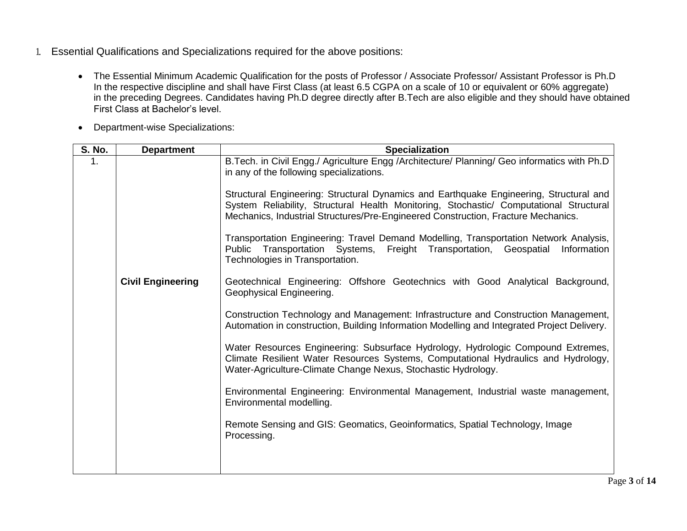- 1. Essential Qualifications and Specializations required for the above positions:
	- The Essential Minimum Academic Qualification for the posts of Professor / Associate Professor/ Assistant Professor is Ph.D In the respective discipline and shall have First Class (at least 6.5 CGPA on a scale of 10 or equivalent or 60% aggregate) in the preceding Degrees. Candidates having Ph.D degree directly after B.Tech are also eligible and they should have obtained First Class at Bachelor's level.
	- Department-wise Specializations:

| <b>S. No.</b> | <b>Department</b>        | <b>Specialization</b>                                                                                                                                                                                                                                                 |
|---------------|--------------------------|-----------------------------------------------------------------------------------------------------------------------------------------------------------------------------------------------------------------------------------------------------------------------|
| 1.            |                          | B. Tech. in Civil Engg./ Agriculture Engg /Architecture/ Planning/ Geo informatics with Ph.D<br>in any of the following specializations.                                                                                                                              |
|               |                          | Structural Engineering: Structural Dynamics and Earthquake Engineering, Structural and<br>System Reliability, Structural Health Monitoring, Stochastic/ Computational Structural<br>Mechanics, Industrial Structures/Pre-Engineered Construction, Fracture Mechanics. |
|               |                          | Transportation Engineering: Travel Demand Modelling, Transportation Network Analysis,<br>Public Transportation Systems, Freight Transportation, Geospatial<br>Information<br>Technologies in Transportation.                                                          |
|               | <b>Civil Engineering</b> | Geotechnical Engineering: Offshore Geotechnics with Good Analytical Background,<br>Geophysical Engineering.                                                                                                                                                           |
|               |                          | Construction Technology and Management: Infrastructure and Construction Management,<br>Automation in construction, Building Information Modelling and Integrated Project Delivery.                                                                                    |
|               |                          | Water Resources Engineering: Subsurface Hydrology, Hydrologic Compound Extremes,<br>Climate Resilient Water Resources Systems, Computational Hydraulics and Hydrology,<br>Water-Agriculture-Climate Change Nexus, Stochastic Hydrology.                               |
|               |                          | Environmental Engineering: Environmental Management, Industrial waste management,<br>Environmental modelling.                                                                                                                                                         |
|               |                          | Remote Sensing and GIS: Geomatics, Geoinformatics, Spatial Technology, Image<br>Processing.                                                                                                                                                                           |
|               |                          |                                                                                                                                                                                                                                                                       |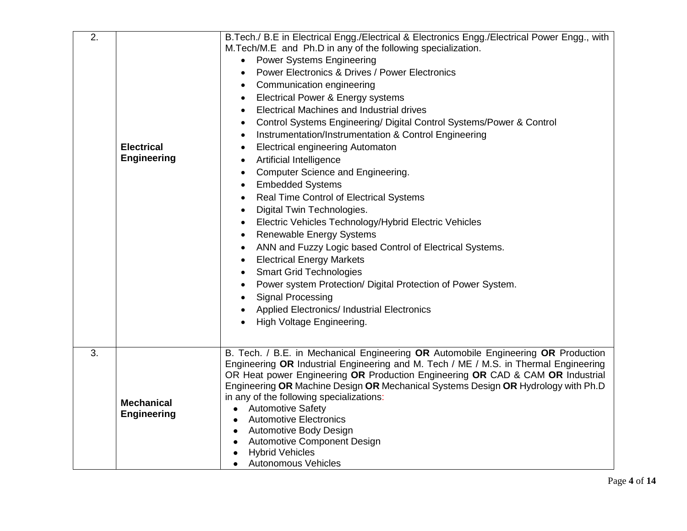| 2. | <b>Electrical</b><br><b>Engineering</b> | B. Tech./ B. E in Electrical Engg./Electrical & Electronics Engg./Electrical Power Engg., with<br>M.Tech/M.E and Ph.D in any of the following specialization.<br><b>Power Systems Engineering</b><br><b>Power Electronics &amp; Drives / Power Electronics</b><br>Communication engineering<br>$\bullet$<br>Electrical Power & Energy systems<br>$\bullet$<br>Electrical Machines and Industrial drives<br>$\bullet$<br>Control Systems Engineering/ Digital Control Systems/Power & Control<br>Instrumentation/Instrumentation & Control Engineering<br>$\bullet$<br><b>Electrical engineering Automaton</b><br>$\bullet$<br><b>Artificial Intelligence</b><br>$\bullet$<br>Computer Science and Engineering.<br><b>Embedded Systems</b><br>$\bullet$<br><b>Real Time Control of Electrical Systems</b><br>$\bullet$<br>Digital Twin Technologies.<br>$\bullet$<br>Electric Vehicles Technology/Hybrid Electric Vehicles<br>Renewable Energy Systems<br>$\bullet$<br>ANN and Fuzzy Logic based Control of Electrical Systems.<br><b>Electrical Energy Markets</b><br>$\bullet$<br><b>Smart Grid Technologies</b><br>$\bullet$<br>Power system Protection/ Digital Protection of Power System.<br><b>Signal Processing</b><br>Applied Electronics/ Industrial Electronics<br>High Voltage Engineering. |
|----|-----------------------------------------|--------------------------------------------------------------------------------------------------------------------------------------------------------------------------------------------------------------------------------------------------------------------------------------------------------------------------------------------------------------------------------------------------------------------------------------------------------------------------------------------------------------------------------------------------------------------------------------------------------------------------------------------------------------------------------------------------------------------------------------------------------------------------------------------------------------------------------------------------------------------------------------------------------------------------------------------------------------------------------------------------------------------------------------------------------------------------------------------------------------------------------------------------------------------------------------------------------------------------------------------------------------------------------------------------------|
| 3. | <b>Mechanical</b><br><b>Engineering</b> | B. Tech. / B.E. in Mechanical Engineering OR Automobile Engineering OR Production<br>Engineering OR Industrial Engineering and M. Tech / ME / M.S. in Thermal Engineering<br>OR Heat power Engineering OR Production Engineering OR CAD & CAM OR Industrial<br>Engineering OR Machine Design OR Mechanical Systems Design OR Hydrology with Ph.D<br>in any of the following specializations:<br><b>Automotive Safety</b><br>$\bullet$<br><b>Automotive Electronics</b><br>$\bullet$<br><b>Automotive Body Design</b><br>$\bullet$<br><b>Automotive Component Design</b><br><b>Hybrid Vehicles</b><br><b>Autonomous Vehicles</b><br>$\bullet$                                                                                                                                                                                                                                                                                                                                                                                                                                                                                                                                                                                                                                                           |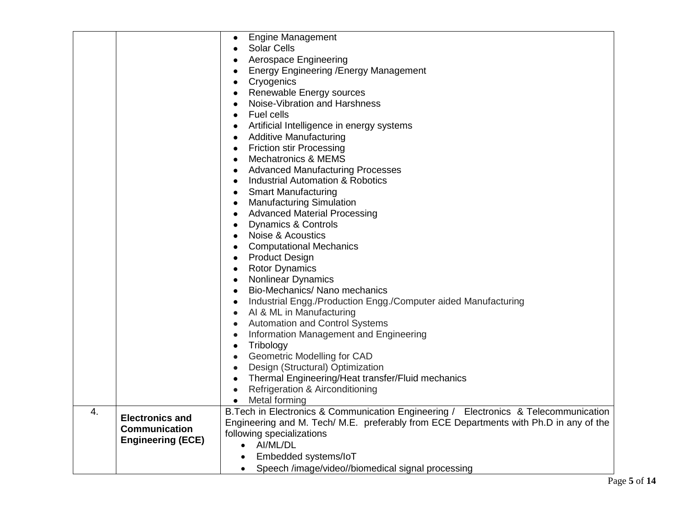|                  |                          | <b>Engine Management</b>                                                              |
|------------------|--------------------------|---------------------------------------------------------------------------------------|
|                  |                          | $\bullet$<br><b>Solar Cells</b>                                                       |
|                  |                          |                                                                                       |
|                  |                          | Aerospace Engineering                                                                 |
|                  |                          | <b>Energy Engineering / Energy Management</b>                                         |
|                  |                          | Cryogenics                                                                            |
|                  |                          | Renewable Energy sources                                                              |
|                  |                          | Noise-Vibration and Harshness                                                         |
|                  |                          | Fuel cells<br>$\bullet$                                                               |
|                  |                          | Artificial Intelligence in energy systems                                             |
|                  |                          | <b>Additive Manufacturing</b>                                                         |
|                  |                          | <b>Friction stir Processing</b><br>$\bullet$                                          |
|                  |                          | <b>Mechatronics &amp; MEMS</b>                                                        |
|                  |                          | <b>Advanced Manufacturing Processes</b>                                               |
|                  |                          | Industrial Automation & Robotics<br>$\bullet$                                         |
|                  |                          | <b>Smart Manufacturing</b>                                                            |
|                  |                          | <b>Manufacturing Simulation</b><br>$\bullet$                                          |
|                  |                          | <b>Advanced Material Processing</b>                                                   |
|                  |                          | Dynamics & Controls                                                                   |
|                  |                          | Noise & Acoustics<br>$\bullet$                                                        |
|                  |                          | <b>Computational Mechanics</b><br>$\bullet$                                           |
|                  |                          | <b>Product Design</b>                                                                 |
|                  |                          | <b>Rotor Dynamics</b><br>$\bullet$                                                    |
|                  |                          | <b>Nonlinear Dynamics</b>                                                             |
|                  |                          | Bio-Mechanics/ Nano mechanics                                                         |
|                  |                          | Industrial Engg./Production Engg./Computer aided Manufacturing<br>$\bullet$           |
|                  |                          | AI & ML in Manufacturing<br>$\bullet$                                                 |
|                  |                          | <b>Automation and Control Systems</b>                                                 |
|                  |                          | Information Management and Engineering<br>$\bullet$                                   |
|                  |                          | Tribology<br>$\bullet$                                                                |
|                  |                          | <b>Geometric Modelling for CAD</b>                                                    |
|                  |                          | Design (Structural) Optimization<br>$\bullet$                                         |
|                  |                          | Thermal Engineering/Heat transfer/Fluid mechanics<br>$\bullet$                        |
|                  |                          | <b>Refrigeration &amp; Airconditioning</b><br>$\bullet$                               |
|                  |                          | Metal forming<br>$\bullet$                                                            |
| $\overline{4}$ . |                          | B. Tech in Electronics & Communication Engineering / Electronics & Telecommunication  |
|                  | <b>Electronics and</b>   | Engineering and M. Tech/ M.E. preferably from ECE Departments with Ph.D in any of the |
|                  | <b>Communication</b>     | following specializations                                                             |
|                  | <b>Engineering (ECE)</b> | • AI/ML/DL                                                                            |
|                  |                          | Embedded systems/loT<br>$\bullet$                                                     |
|                  |                          | Speech /image/video//biomedical signal processing<br>$\bullet$                        |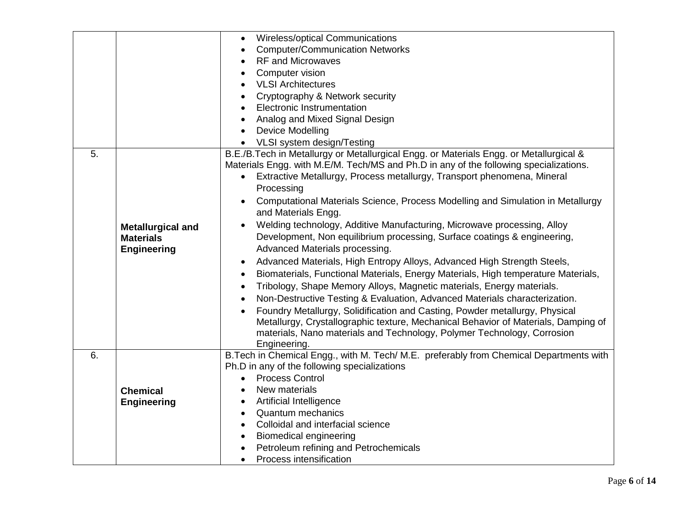|    |                          | Wireless/optical Communications<br>$\bullet$                                                   |
|----|--------------------------|------------------------------------------------------------------------------------------------|
|    |                          | <b>Computer/Communication Networks</b>                                                         |
|    |                          | <b>RF and Microwaves</b>                                                                       |
|    |                          | <b>Computer vision</b>                                                                         |
|    |                          | <b>VLSI Architectures</b>                                                                      |
|    |                          | Cryptography & Network security                                                                |
|    |                          | <b>Electronic Instrumentation</b>                                                              |
|    |                          | Analog and Mixed Signal Design                                                                 |
|    |                          | Device Modelling                                                                               |
|    |                          | VLSI system design/Testing<br>$\bullet$                                                        |
| 5. |                          | B.E./B.Tech in Metallurgy or Metallurgical Engg. or Materials Engg. or Metallurgical &         |
|    |                          | Materials Engg. with M.E/M. Tech/MS and Ph.D in any of the following specializations.          |
|    |                          | Extractive Metallurgy, Process metallurgy, Transport phenomena, Mineral                        |
|    |                          | Processing                                                                                     |
|    |                          | Computational Materials Science, Process Modelling and Simulation in Metallurgy                |
|    |                          | and Materials Engg.                                                                            |
|    | <b>Metallurgical and</b> | Welding technology, Additive Manufacturing, Microwave processing, Alloy                        |
|    | <b>Materials</b>         | Development, Non equilibrium processing, Surface coatings & engineering,                       |
|    | <b>Engineering</b>       | Advanced Materials processing.                                                                 |
|    |                          | Advanced Materials, High Entropy Alloys, Advanced High Strength Steels,                        |
|    |                          | Biomaterials, Functional Materials, Energy Materials, High temperature Materials,<br>$\bullet$ |
|    |                          | Tribology, Shape Memory Alloys, Magnetic materials, Energy materials.                          |
|    |                          | Non-Destructive Testing & Evaluation, Advanced Materials characterization.<br>$\bullet$        |
|    |                          | Foundry Metallurgy, Solidification and Casting, Powder metallurgy, Physical                    |
|    |                          | Metallurgy, Crystallographic texture, Mechanical Behavior of Materials, Damping of             |
|    |                          | materials, Nano materials and Technology, Polymer Technology, Corrosion                        |
|    |                          | Engineering.                                                                                   |
| 6. |                          | B. Tech in Chemical Engg., with M. Tech/ M.E. preferably from Chemical Departments with        |
|    |                          | Ph.D in any of the following specializations                                                   |
|    |                          | <b>Process Control</b><br>$\bullet$                                                            |
|    | <b>Chemical</b>          | New materials<br>$\bullet$                                                                     |
|    | <b>Engineering</b>       | <b>Artificial Intelligence</b><br>$\bullet$                                                    |
|    |                          | <b>Quantum mechanics</b><br>$\bullet$                                                          |
|    |                          | Colloidal and interfacial science<br>$\bullet$                                                 |
|    |                          | <b>Biomedical engineering</b><br>$\bullet$                                                     |
|    |                          | Petroleum refining and Petrochemicals                                                          |
|    |                          | Process intensification<br>$\bullet$                                                           |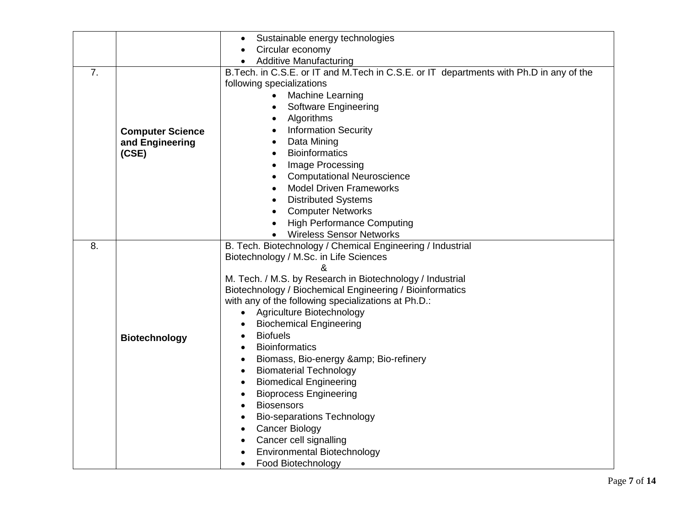|    |                                                     | Sustainable energy technologies<br>$\bullet$                                                                                                                                                                                                                                                                                                                                                                                                                                                                                                                                                                                                                                                                                                                                                                                   |
|----|-----------------------------------------------------|--------------------------------------------------------------------------------------------------------------------------------------------------------------------------------------------------------------------------------------------------------------------------------------------------------------------------------------------------------------------------------------------------------------------------------------------------------------------------------------------------------------------------------------------------------------------------------------------------------------------------------------------------------------------------------------------------------------------------------------------------------------------------------------------------------------------------------|
|    |                                                     | Circular economy                                                                                                                                                                                                                                                                                                                                                                                                                                                                                                                                                                                                                                                                                                                                                                                                               |
|    |                                                     | <b>Additive Manufacturing</b>                                                                                                                                                                                                                                                                                                                                                                                                                                                                                                                                                                                                                                                                                                                                                                                                  |
| 7. | <b>Computer Science</b><br>and Engineering<br>(CSE) | B. Tech. in C.S.E. or IT and M. Tech in C.S.E. or IT departments with Ph.D in any of the<br>following specializations<br>Machine Learning<br><b>Software Engineering</b><br>Algorithms<br>$\bullet$<br><b>Information Security</b><br>$\bullet$<br>Data Mining<br>$\bullet$<br><b>Bioinformatics</b><br>$\bullet$<br>Image Processing<br>$\bullet$<br><b>Computational Neuroscience</b><br>$\bullet$<br><b>Model Driven Frameworks</b><br>$\bullet$<br><b>Distributed Systems</b><br><b>Computer Networks</b><br>$\bullet$<br><b>High Performance Computing</b><br><b>Wireless Sensor Networks</b>                                                                                                                                                                                                                             |
| 8. | <b>Biotechnology</b>                                | B. Tech. Biotechnology / Chemical Engineering / Industrial<br>Biotechnology / M.Sc. in Life Sciences<br>&<br>M. Tech. / M.S. by Research in Biotechnology / Industrial<br>Biotechnology / Biochemical Engineering / Bioinformatics<br>with any of the following specializations at Ph.D.:<br>Agriculture Biotechnology<br><b>Biochemical Engineering</b><br><b>Biofuels</b><br><b>Bioinformatics</b><br>Biomass, Bio-energy & Bio-refinery<br>$\bullet$<br><b>Biomaterial Technology</b><br>$\bullet$<br><b>Biomedical Engineering</b><br>$\bullet$<br><b>Bioprocess Engineering</b><br>$\bullet$<br><b>Biosensors</b><br><b>Bio-separations Technology</b><br>$\bullet$<br><b>Cancer Biology</b><br>$\bullet$<br>Cancer cell signalling<br>$\bullet$<br><b>Environmental Biotechnology</b><br>Food Biotechnology<br>$\bullet$ |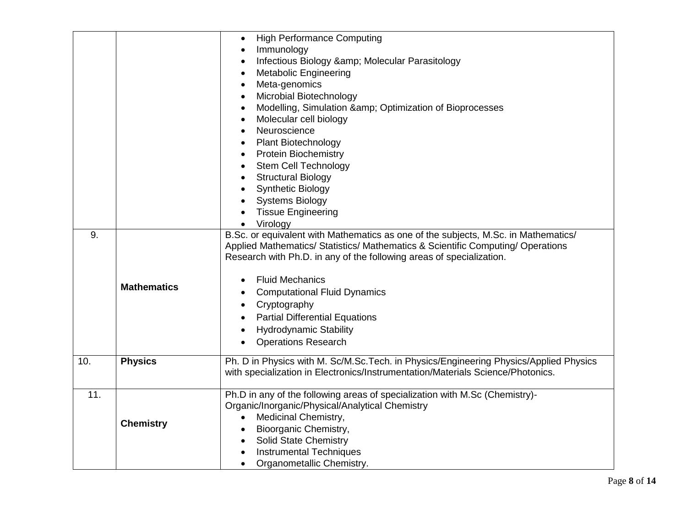|     |                    | <b>High Performance Computing</b><br>$\bullet$                                        |
|-----|--------------------|---------------------------------------------------------------------------------------|
|     |                    | Immunology<br>$\bullet$                                                               |
|     |                    | Infectious Biology & Molecular Parasitology<br>$\bullet$                              |
|     |                    | <b>Metabolic Engineering</b>                                                          |
|     |                    | Meta-genomics                                                                         |
|     |                    | Microbial Biotechnology                                                               |
|     |                    | Modelling, Simulation & Optimization of Bioprocesses                                  |
|     |                    | Molecular cell biology                                                                |
|     |                    | Neuroscience                                                                          |
|     |                    |                                                                                       |
|     |                    | Plant Biotechnology                                                                   |
|     |                    | <b>Protein Biochemistry</b><br>٠                                                      |
|     |                    | <b>Stem Cell Technology</b>                                                           |
|     |                    | <b>Structural Biology</b>                                                             |
|     |                    | <b>Synthetic Biology</b>                                                              |
|     |                    | <b>Systems Biology</b>                                                                |
|     |                    | <b>Tissue Engineering</b>                                                             |
|     |                    | Virology                                                                              |
| 9.  |                    | B.Sc. or equivalent with Mathematics as one of the subjects, M.Sc. in Mathematics/    |
|     |                    | Applied Mathematics/ Statistics/ Mathematics & Scientific Computing/ Operations       |
|     |                    | Research with Ph.D. in any of the following areas of specialization.                  |
|     |                    | <b>Fluid Mechanics</b>                                                                |
|     | <b>Mathematics</b> |                                                                                       |
|     |                    | <b>Computational Fluid Dynamics</b>                                                   |
|     |                    | Cryptography                                                                          |
|     |                    | <b>Partial Differential Equations</b>                                                 |
|     |                    | <b>Hydrodynamic Stability</b>                                                         |
|     |                    | <b>Operations Research</b>                                                            |
| 10. | <b>Physics</b>     | Ph. D in Physics with M. Sc/M.Sc.Tech. in Physics/Engineering Physics/Applied Physics |
|     |                    | with specialization in Electronics/Instrumentation/Materials Science/Photonics.       |
|     |                    |                                                                                       |
| 11. |                    | Ph.D in any of the following areas of specialization with M.Sc (Chemistry)-           |
|     |                    | Organic/Inorganic/Physical/Analytical Chemistry                                       |
|     |                    | Medicinal Chemistry,                                                                  |
|     | <b>Chemistry</b>   | Bioorganic Chemistry,                                                                 |
|     |                    | Solid State Chemistry<br>$\bullet$                                                    |
|     |                    | <b>Instrumental Techniques</b>                                                        |
|     |                    | Organometallic Chemistry.                                                             |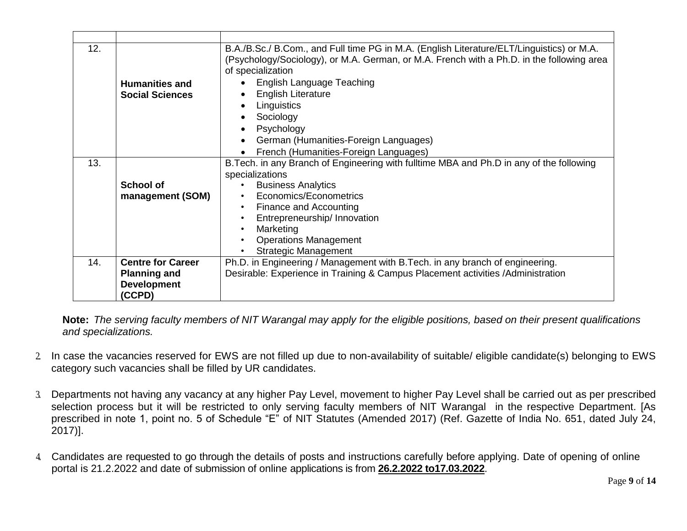| 12. | <b>Humanities and</b>    | B.A./B.Sc./ B.Com., and Full time PG in M.A. (English Literature/ELT/Linguistics) or M.A.<br>(Psychology/Sociology), or M.A. German, or M.A. French with a Ph.D. in the following area<br>of specialization<br>English Language Teaching |
|-----|--------------------------|------------------------------------------------------------------------------------------------------------------------------------------------------------------------------------------------------------------------------------------|
|     | <b>Social Sciences</b>   | <b>English Literature</b>                                                                                                                                                                                                                |
|     |                          | Linguistics                                                                                                                                                                                                                              |
|     |                          | Sociology                                                                                                                                                                                                                                |
|     |                          | Psychology                                                                                                                                                                                                                               |
|     |                          | German (Humanities-Foreign Languages)                                                                                                                                                                                                    |
|     |                          | French (Humanities-Foreign Languages)                                                                                                                                                                                                    |
| 13. |                          | B. Tech. in any Branch of Engineering with fulltime MBA and Ph.D in any of the following                                                                                                                                                 |
|     |                          | specializations                                                                                                                                                                                                                          |
|     | School of                | <b>Business Analytics</b>                                                                                                                                                                                                                |
|     | management (SOM)         | Economics/Econometrics                                                                                                                                                                                                                   |
|     |                          | Finance and Accounting<br>$\bullet$                                                                                                                                                                                                      |
|     |                          | Entrepreneurship/ Innovation                                                                                                                                                                                                             |
|     |                          | Marketing                                                                                                                                                                                                                                |
|     |                          | <b>Operations Management</b>                                                                                                                                                                                                             |
|     |                          | <b>Strategic Management</b>                                                                                                                                                                                                              |
| 14. | <b>Centre for Career</b> | Ph.D. in Engineering / Management with B.Tech. in any branch of engineering.                                                                                                                                                             |
|     | <b>Planning and</b>      | Desirable: Experience in Training & Campus Placement activities / Administration                                                                                                                                                         |
|     | <b>Development</b>       |                                                                                                                                                                                                                                          |
|     | (CCPD)                   |                                                                                                                                                                                                                                          |

**Note:** *The serving faculty members of NIT Warangal may apply for the eligible positions, based on their present qualifications and specializations.*

- 2. In case the vacancies reserved for EWS are not filled up due to non-availability of suitable/ eligible candidate(s) belonging to EWS category such vacancies shall be filled by UR candidates.
- 3. Departments not having any vacancy at any higher Pay Level, movement to higher Pay Level shall be carried out as per prescribed selection process but it will be restricted to only serving faculty members of NIT Warangal in the respective Department. [As prescribed in note 1, point no. 5 of Schedule "E" of NIT Statutes (Amended 2017) (Ref. Gazette of India No. 651, dated July 24, 2017)].
- 4. Candidates are requested to go through the details of posts and instructions carefully before applying. Date of opening of online portal is 21.2.2022 and date of submission of online applications is from **26.2.2022 to17.03.2022**.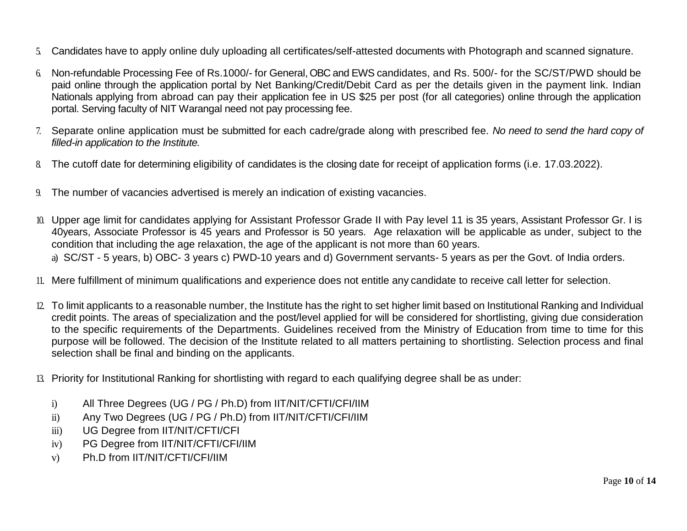- 5. Candidates have to apply online duly uploading all certificates/self-attested documents with Photograph and scanned signature.
- 6. Non-refundable Processing Fee of Rs.1000/- for General, OBC and EWS candidates, and Rs. 500/- for the SC/ST/PWD should be paid online through the application portal by Net Banking/Credit/Debit Card as per the details given in the payment link. Indian Nationals applying from abroad can pay their application fee in US \$25 per post (for all categories) online through the application portal. Serving faculty of NIT Warangal need not pay processing fee.
- 7. Separate online application must be submitted for each cadre/grade along with prescribed fee. *No need to send the hard copy of filled-in application to the Institute.*
- 8. The cutoff date for determining eligibility of candidates is the closing date for receipt of application forms (i.e. 17.03.2022).
- 9. The number of vacancies advertised is merely an indication of existing vacancies.
- 10. Upper age limit for candidates applying for Assistant Professor Grade II with Pay level 11 is 35 years, Assistant Professor Gr. I is 40years, Associate Professor is 45 years and Professor is 50 years. Age relaxation will be applicable as under, subject to the condition that including the age relaxation, the age of the applicant is not more than 60 years.

a) SC/ST - 5 years, b) OBC- 3 years c) PWD-10 years and d) Government servants- 5 years as per the Govt. of India orders.

- 11. Mere fulfillment of minimum qualifications and experience does not entitle any candidate to receive call letter for selection.
- 12. To limit applicants to a reasonable number, the Institute has the right to set higher limit based on Institutional Ranking and Individual credit points. The areas of specialization and the post/level applied for will be considered for shortlisting, giving due consideration to the specific requirements of the Departments. Guidelines received from the Ministry of Education from time to time for this purpose will be followed. The decision of the Institute related to all matters pertaining to shortlisting. Selection process and final selection shall be final and binding on the applicants.
- 13. Priority for Institutional Ranking for shortlisting with regard to each qualifying degree shall be as under:
	- i) All Three Degrees (UG / PG / Ph.D) from IIT/NIT/CFTI/CFI/IIM
	- ii) Any Two Degrees (UG / PG / Ph.D) from IIT/NIT/CFTI/CFI/IIM
	- iii) UG Degree from IIT/NIT/CFTI/CFI
	- iv) PG Degree from IIT/NIT/CFTI/CFI/IIM
	- v) Ph.D from IIT/NIT/CFTI/CFI/IIM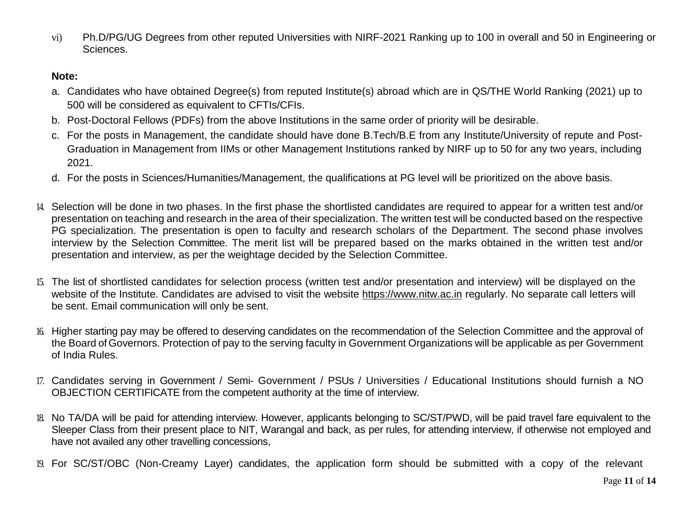vi) Ph.D/PG/UG Degrees from other reputed Universities with NIRF-2021 Ranking up to 100 in overall and 50 in Engineering or Sciences.

#### **Note:**

- a. Candidates who have obtained Degree(s) from reputed Institute(s) abroad which are in QS/THE World Ranking (2021) up to 500 will be considered as equivalent to CFTIs/CFIs.
- b. Post-Doctoral Fellows (PDFs) from the above Institutions in the same order of priority will be desirable.
- c. For the posts in Management, the candidate should have done B.Tech/B.E from any Institute/University of repute and Post-Graduation in Management from IIMs or other Management Institutions ranked by NIRF up to 50 for any two years, including 2021.
- d. For the posts in Sciences/Humanities/Management, the qualifications at PG level will be prioritized on the above basis.
- 14. Selection will be done in two phases. In the first phase the shortlisted candidates are required to appear for a written test and/or presentation on teaching and research in the area of their specialization. The written test will be conducted based on the respective PG specialization. The presentation is open to faculty and research scholars of the Department. The second phase involves interview by the Selection Committee. The merit list will be prepared based on the marks obtained in the written test and/or presentation and interview, as per the weightage decided by the Selection Committee.
- 15. The list of shortlisted candidates for selection process (written test and/or presentation and interview) will be displayed on the website of the Institute. Candidates are advised to visit the website [https://www.nitw.ac.in](https://www.nitw.ac.in/) regularly. No separate call letters will be sent. Email communication will only be sent.
- 16. Higher starting pay may be offered to deserving candidates on the recommendation of the Selection Committee and the approval of the Board ofGovernors. Protection of pay to the serving faculty in Government Organizations will be applicable as per Government of India Rules.
- 17. Candidates serving in Government / Semi- Government / PSUs / Universities / Educational Institutions should furnish a NO OBJECTION CERTIFICATE from the competent authority at the time of interview.
- 18. No TA/DA will be paid for attending interview. However, applicants belonging to SC/ST/PWD, will be paid travel fare equivalent to the Sleeper Class from their present place to NIT, Warangal and back, as per rules, for attending interview, if otherwise not employed and have not availed any other travelling concessions,
- 19. For SC/ST/OBC (Non-Creamy Layer) candidates, the application form should be submitted with a copy of the relevant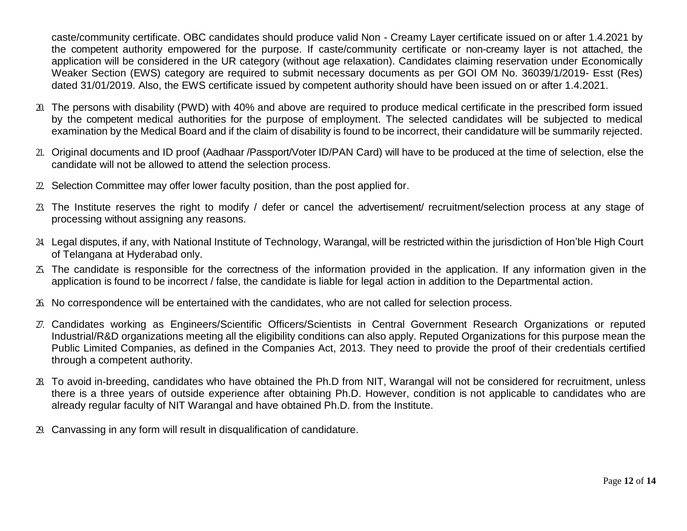caste/community certificate. OBC candidates should produce valid Non - Creamy Layer certificate issued on or after 1.4.2021 by the competent authority empowered for the purpose. If caste/community certificate or non-creamy layer is not attached, the application will be considered in the UR category (without age relaxation). Candidates claiming reservation under Economically Weaker Section (EWS) category are required to submit necessary documents as per GOI OM No. 36039/1/2019- Esst (Res) dated 31/01/2019. Also, the EWS certificate issued by competent authority should have been issued on or after 1.4.2021.

- 20. The persons with disability (PWD) with 40% and above are required to produce medical certificate in the prescribed form issued by the competent medical authorities for the purpose of employment. The selected candidates will be subjected to medical examination by the Medical Board and if the claim of disability is found to be incorrect, their candidature will be summarily rejected.
- 21. Original documents and ID proof (Aadhaar /Passport/Voter ID/PAN Card) will have to be produced at the time of selection, else the candidate will not be allowed to attend the selection process.
- 22. Selection Committee may offer lower faculty position, than the post applied for.
- 23. The Institute reserves the right to modify / defer or cancel the advertisement/ recruitment/selection process at any stage of processing without assigning any reasons.
- 24. Legal disputes, if any, with National Institute of Technology, Warangal, will be restricted within the jurisdiction of Hon'ble High Court of Telangana at Hyderabad only.
- 25. The candidate is responsible for the correctness of the information provided in the application. If any information given in the application is found to be incorrect / false, the candidate is liable for legal action in addition to the Departmental action.
- 26. No correspondence will be entertained with the candidates, who are not called for selection process.
- 27. Candidates working as Engineers/Scientific Officers/Scientists in Central Government Research Organizations or reputed Industrial/R&D organizations meeting all the eligibility conditions can also apply. Reputed Organizations for this purpose mean the Public Limited Companies, as defined in the Companies Act, 2013. They need to provide the proof of their credentials certified through a competent authority.
- 28. To avoid in-breeding, candidates who have obtained the Ph.D from NIT, Warangal will not be considered for recruitment, unless there is a three years of outside experience after obtaining Ph.D. However, condition is not applicable to candidates who are already regular faculty of NIT Warangal and have obtained Ph.D. from the Institute.
- 29. Canvassing in any form will result in disqualification of candidature.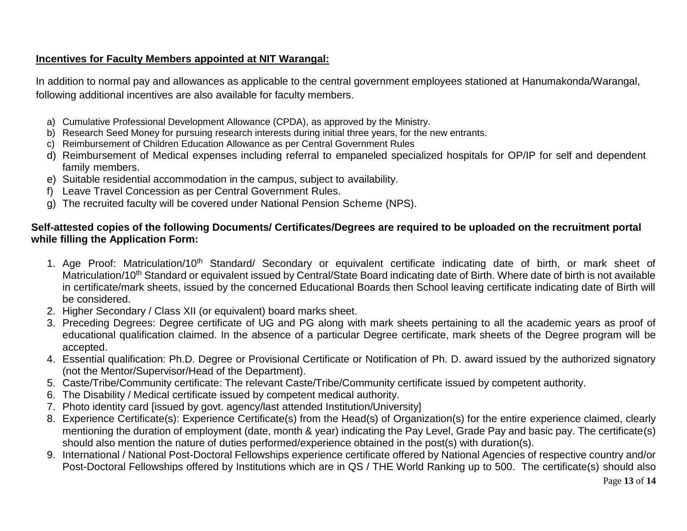## **Incentives for Faculty Members appointed at NIT Warangal:**

In addition to normal pay and allowances as applicable to the central government employees stationed at Hanumakonda/Warangal, following additional incentives are also available for faculty members.

- a) Cumulative Professional Development Allowance (CPDA), as approved by the Ministry.
- b) Research Seed Money for pursuing research interests during initial three years, for the new entrants.
- c) Reimbursement of Children Education Allowance as per Central Government Rules
- d) Reimbursement of Medical expenses including referral to empaneled specialized hospitals for OP/IP for self and dependent family members.
- e) Suitable residential accommodation in the campus, subject to availability.
- f) Leave Travel Concession as per Central Government Rules.
- g) The recruited faculty will be covered under National Pension Scheme (NPS).

## **Self-attested copies of the following Documents/ Certificates/Degrees are required to be uploaded on the recruitment portal while filling the Application Form:**

- 1. Age Proof: Matriculation/10<sup>th</sup> Standard/ Secondary or equivalent certificate indicating date of birth, or mark sheet of Matriculation/10<sup>th</sup> Standard or equivalent issued by Central/State Board indicating date of Birth. Where date of birth is not available in certificate/mark sheets, issued by the concerned Educational Boards then School leaving certificate indicating date of Birth will be considered.
- 2. Higher Secondary / Class XII (or equivalent) board marks sheet.
- 3. Preceding Degrees: Degree certificate of UG and PG along with mark sheets pertaining to all the academic years as proof of educational qualification claimed. In the absence of a particular Degree certificate, mark sheets of the Degree program will be accepted.
- 4. Essential qualification: Ph.D. Degree or Provisional Certificate or Notification of Ph. D. award issued by the authorized signatory (not the Mentor/Supervisor/Head of the Department).
- 5. Caste/Tribe/Community certificate: The relevant Caste/Tribe/Community certificate issued by competent authority.
- 6. The Disability / Medical certificate issued by competent medical authority.
- 7. Photo identity card [issued by govt. agency/last attended Institution/University]
- 8. Experience Certificate(s): Experience Certificate(s) from the Head(s) of Organization(s) for the entire experience claimed, clearly mentioning the duration of employment (date, month & year) indicating the Pay Level, Grade Pay and basic pay. The certificate(s) should also mention the nature of duties performed/experience obtained in the post(s) with duration(s).
- 9. International / National Post-Doctoral Fellowships experience certificate offered by National Agencies of respective country and/or Post-Doctoral Fellowships offered by Institutions which are in QS / THE World Ranking up to 500. The certificate(s) should also